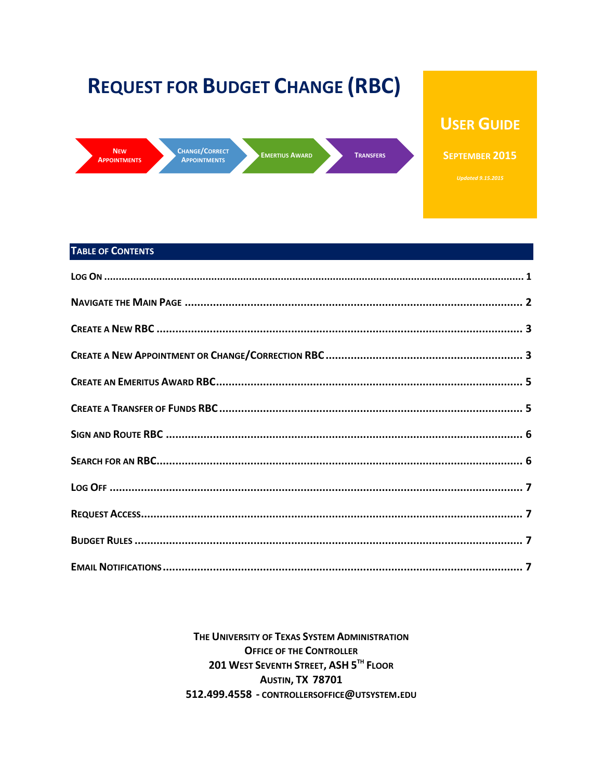



# **USER GUIDE**

**SEPTEMBER 2015** 

## **TABLE OF CONTENTS**

THE UNIVERSITY OF TEXAS SYSTEM ADMINISTRATION **OFFICE OF THE CONTROLLER** 201 WEST SEVENTH STREET, ASH 5TH FLOOR **AUSTIN, TX 78701** 512.499.4558 - CONTROLLERSOFFICE@UTSYSTEM.EDU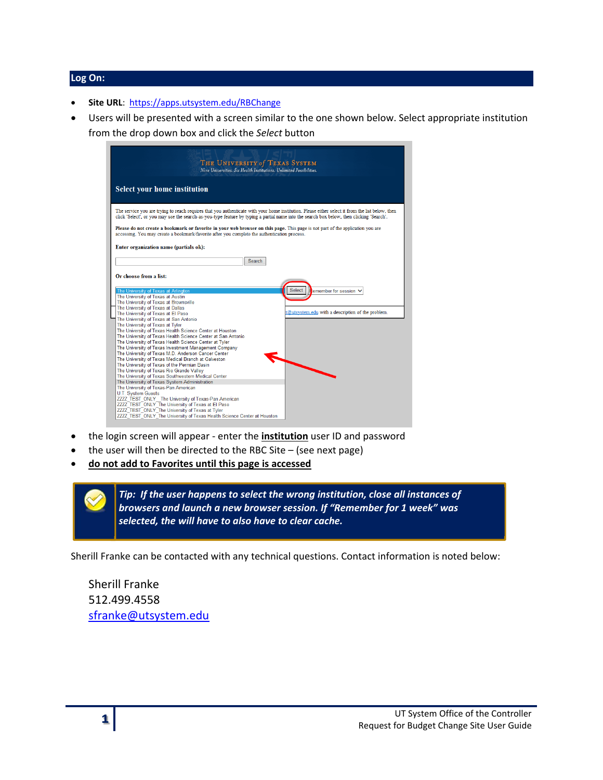### **Log On:**

- **Site URL**: https://apps.utsystem.edu/RBChange
- Users will be presented with a screen similar to the one shown below. Select appropriate institution from the drop down box and click the *Select* button

| THE UNIVERSITY of TEXAS SYSTEM<br>Nine Universities, Six Health Institutions, Unlimited Possibilities.                                                                                                                                                                                                                                                                                                                                                                                                                          |  |  |  |  |  |  |
|---------------------------------------------------------------------------------------------------------------------------------------------------------------------------------------------------------------------------------------------------------------------------------------------------------------------------------------------------------------------------------------------------------------------------------------------------------------------------------------------------------------------------------|--|--|--|--|--|--|
| <b>Select your home institution</b>                                                                                                                                                                                                                                                                                                                                                                                                                                                                                             |  |  |  |  |  |  |
| The service you are trying to reach requires that you authenticate with your home institution. Please either select it from the list below, then<br>click 'Select', or you may use the search-as-you-type feature by typing a partial name into the search box below, then clicking 'Search',<br>Please do not create a bookmark or favorite in your web browser on this page. This page is not part of the application you are<br>accessing. You may create a bookmark/favorite after you complete the authentication process. |  |  |  |  |  |  |
| Enter organization name (partials ok):<br>Search<br>Or choose from a list:                                                                                                                                                                                                                                                                                                                                                                                                                                                      |  |  |  |  |  |  |
| Select<br>emember for session \<br>The University of Texas at Arlington<br>The University of Texas at Austin<br>The University of Texas at Brownsville<br>The University of Texas at Dallas<br>t@utsystem.edu with a description of the problem.<br>The University of Texas at El Paso<br>The University of Texas at San Antonio<br>The University of Texas at Tyler                                                                                                                                                            |  |  |  |  |  |  |
| The University of Texas Health Science Center at Houston<br>The University of Texas Health Science Center at San Antonio<br>The University of Texas Health Science Center at Tyler<br>The University of Texas Investment Management Company<br>The University of Texas M.D. Anderson Cancer Center<br>The University of Texas Medical Branch at Galveston<br>The University of Texas of the Permian Basin<br>The University of Texas Rio Grande Valley<br>The University of Texas Southwestern Medical Center                   |  |  |  |  |  |  |
| The University of Texas System Administration<br>The University of Texas-Pan American<br><b>U.T. System Guests</b><br>ZZZZ TEST ONLY The University of Texas-Pan American<br>ZZZZ TEST ONLY The University of Texas at El Paso<br>ZZZZ TEST ONLY The University of Texas at Tyler<br>ZZZZ TEST ONLY The University of Texas Health Science Center at Houston                                                                                                                                                                    |  |  |  |  |  |  |

- the login screen will appear ‐ enter the **institution** user ID and password
- the user will then be directed to the RBC Site (see next page)
- **do not add to Favorites until this page is accessed**

*Tip: If the user happens to select the wrong institution, close all instances of browsers and launch a new browser session. If "Remember for 1 week" was selected, the will have to also have to clear cache.*

Sherill Franke can be contacted with any technical questions. Contact information is noted below:

Sherill Franke 512.499.4558 sfranke@utsystem.edu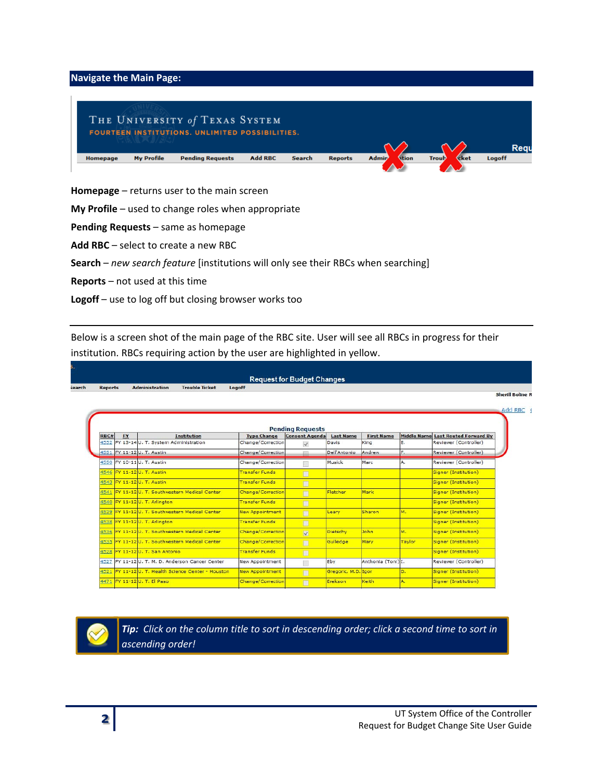**Navigate the Main Page:**



**Homepage** – returns user to the main screen

**My Profile** – used to change roles when appropriate

**Pending Requests** – same as homepage

**Add RBC** – select to create a new RBC

**Search** – *new search feature* [institutions will only see their RBCs when searching]

**Reports** – not used at this time

**Logoff** – use to log off but closing browser works too

Below is a screen shot of the main page of the RBC site. User will see all RBCs in progress for their institution. RBCs requiring action by the user are highlighted in yellow.

| <b>Reports</b> |           | <b>Administration</b><br><b>Trouble Ticket</b>             | Logoff                                  |                                       |                           |                           |                          |                                                        | <b>Sherill Boline R</b> |
|----------------|-----------|------------------------------------------------------------|-----------------------------------------|---------------------------------------|---------------------------|---------------------------|--------------------------|--------------------------------------------------------|-------------------------|
|                |           |                                                            |                                         |                                       |                           |                           |                          |                                                        | Add RBC (               |
|                |           |                                                            |                                         |                                       |                           |                           |                          |                                                        |                         |
|                |           |                                                            |                                         | <b>Pending Requests</b>               |                           |                           |                          |                                                        |                         |
| RBC#<br>4552   | <b>FY</b> | <b>Institution</b><br>FY 13-14 U. T. System Administration | <b>Type Change</b><br>Change/Correction | <b>Consent Agenda</b><br>$\checkmark$ | <b>Last Name</b><br>Davis | <b>First Name</b><br>King | <b>Middle Name</b><br>E. | <b>Last Routed Forward By</b><br>Reviewer (Controller) |                         |
| 4551           |           | FY 11-12 U. T. Austin                                      | Change/Correction                       |                                       | Dell'Antonio              | Andrew                    | F.                       | Reviewer (Controller)                                  |                         |
|                |           | 4550 FY 10-11 U. T. Austin                                 | Change/Correction                       | H                                     | Musick                    | Marc                      | Α.                       | Reviewer (Controller)                                  |                         |
|                |           | 4546 FY 11-12 U. T. Austin                                 | <b>Transfer Funds</b>                   | $\Box$                                |                           |                           |                          | Signer (Institution)                                   |                         |
|                |           | 4543 FY 11-12 U. T. Austin                                 | <b>Transfer Funds</b>                   | $\Box$                                |                           |                           |                          | Signer (Institution)                                   |                         |
|                |           | 4541 FY 11-12 U. T. Southwestern Medical Center            | Change/Correction                       | П                                     | Fletcher                  | Mark                      |                          | Signer (Institution)                                   |                         |
|                |           | 4540 FY 11-12 U. T. Arlington                              | <b>Transfer Funds</b>                   | $\Box$                                |                           |                           |                          | Signer (Institution)                                   |                         |
|                |           | 4539 FY 11-12U. T. Southwestern Medical Center             | <b>New Appointment</b>                  | 同                                     | Leary                     | Sharon                    | м.                       | Signer (Institution)                                   |                         |
|                |           | 4538 FY 11-12 U. T. Arlington                              | <b>Transfer Funds</b>                   | E                                     |                           |                           |                          | Signer (Institution)                                   |                         |
|                |           | 4536 FY 11-12U. T. Southwestern Medical Center             | Change/Correction                       | $\overline{\vee}$                     | Dietschy                  | John                      | м.                       | Signer (Institution)                                   |                         |
|                |           | 4535 FY 11-12U. T. Southwestern Medical Center             | Change/Correction                       | F                                     | Gulledge                  | Mary                      | Taylor                   | Signer (Institution)                                   |                         |
|                |           | 4528 FY 11-12 U. T. San Antonio                            | <b>Transfer Funds</b>                   | $\Box$                                |                           |                           |                          | Signer (Institution)                                   |                         |
|                |           | 4527 FY 11-12U. T. M. D. Anderson Cancer Center            | <b>New Appointment</b>                  |                                       | Eby                       | Anthonia (Toni) I.        |                          | Reviewer (Controller)                                  |                         |
|                |           | 4521 FY 11-12 U. T. Health Science Center - Houston        | <b>New Appointment</b>                  |                                       | Gregoric, M.D. Igor       |                           | b.                       | Signer (Institution)                                   |                         |



*Tip: Click on the column title to sort in descending order; click a second time to sort in ascending order!*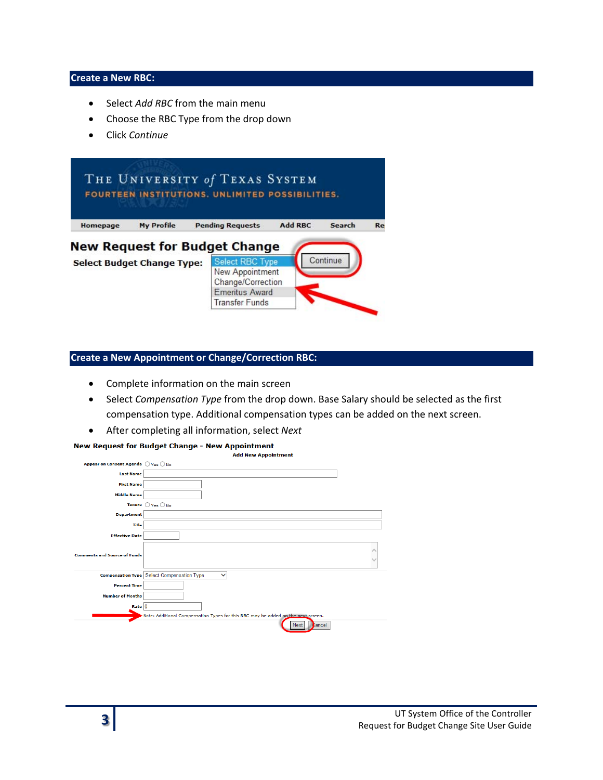#### **Create a New RBC:**

- Select *Add RBC* from the main menu
- Choose the RBC Type from the drop down
- Click *Continue*



### **Create a New Appointment or Change/Correction RBC:**

- Complete information on the main screen
- Select *Compensation Type* from the drop down. Base Salary should be selected as the first compensation type. Additional compensation types can be added on the next screen.
- After completing all information, select *Next*

New Request for Budget Change - New Appointment **Add New Annointment** 

| Appear on Consent Agenda ○ Yes ○ No |                                                                                                     |  |
|-------------------------------------|-----------------------------------------------------------------------------------------------------|--|
| <b>Last Name</b>                    |                                                                                                     |  |
| <b>First Name</b>                   |                                                                                                     |  |
| <b>Middle Name</b>                  |                                                                                                     |  |
|                                     | Tenure $\bigcirc$ Yes $\bigcirc$ No                                                                 |  |
| <b>Department</b>                   |                                                                                                     |  |
| <b>Title</b>                        |                                                                                                     |  |
| <b>Effective Date</b>               |                                                                                                     |  |
| <b>Comments and Source of Funds</b> |                                                                                                     |  |
|                                     | <b>Compensation Type   Select Compensation Type</b><br>$\checkmark$                                 |  |
| <b>Percent Time</b>                 |                                                                                                     |  |
| <b>Number of Months</b>             |                                                                                                     |  |
| Rate 0                              |                                                                                                     |  |
|                                     | Note: Additional Compensation Types for this RBC may be added on the next screen.<br>tancel<br>Next |  |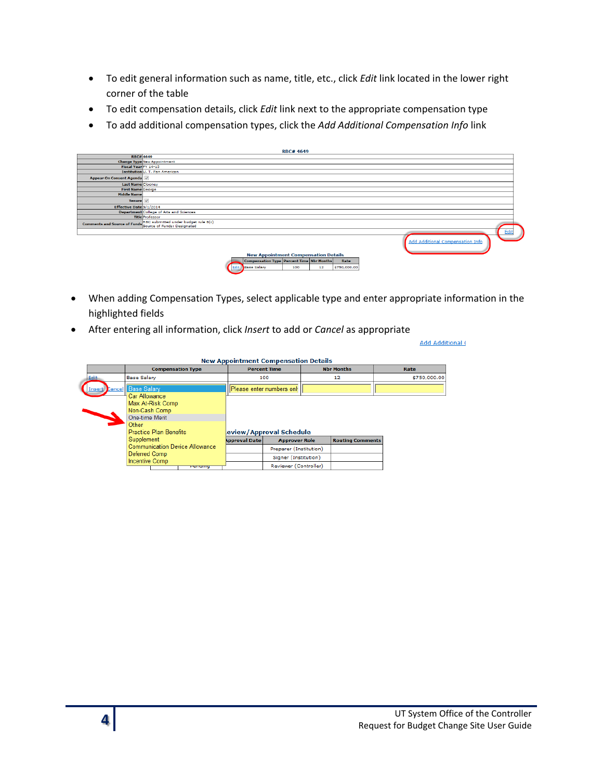- To edit general information such as name, title, etc., click *Edit* link located in the lower right corner of the table
- To edit compensation details, click *Edit* link next to the appropriate compensation type
- To add additional compensation types, click the *Add Additional Compensation Info* link

|                                | <b>RBC# 4649</b>                                                                                                                                         |
|--------------------------------|----------------------------------------------------------------------------------------------------------------------------------------------------------|
|                                | <b>RBC# 4649</b>                                                                                                                                         |
|                                | <b>Change Type New Appointment</b>                                                                                                                       |
| Fiscal Year FY 14-15           |                                                                                                                                                          |
|                                | Institution U. T. Pan American                                                                                                                           |
| Appear On Consent Agenda       |                                                                                                                                                          |
| <b>Last Name Clooney</b>       |                                                                                                                                                          |
| First Name George              |                                                                                                                                                          |
| <b>Middle Name</b>             |                                                                                                                                                          |
| Tenure $\sqrt{}$               |                                                                                                                                                          |
| <b>Effective Date 9/1/2014</b> |                                                                                                                                                          |
|                                | Department College of Arts and Sciences                                                                                                                  |
|                                | <b>Title Professor</b>                                                                                                                                   |
|                                | Comments and Source of Funds RBC submitted under budget rule B(c)<br>Source of Funds: Designated                                                         |
|                                | Edit                                                                                                                                                     |
|                                | <b>Add Additional Compensation Info</b>                                                                                                                  |
|                                | <b>New Appointment Compensation Details</b><br>Compensation Type Percent Time Nbr Months<br>Rate<br><b>Edit Base Salary</b><br>100<br>12<br>\$750,000.00 |

- When adding Compensation Types, select applicable type and enter appropriate information in the highlighted fields
- After entering all information, click *Insert* to add or *Cancel* as appropriate

**Add Additional (** 

|       | <b>New Appointment Compensation Details</b>                      |                      |                           |  |                         |              |  |  |
|-------|------------------------------------------------------------------|----------------------|---------------------------|--|-------------------------|--------------|--|--|
|       | <b>Compensation Type</b>                                         |                      | <b>Percent Time</b>       |  | <b>Nbr Months</b>       | Rate         |  |  |
| Edit. | <b>Base Salary</b>                                               |                      | 100                       |  | 12                      | \$750,000,00 |  |  |
|       | <b>Insert Cancel Base Salary</b>                                 |                      | Please enter numbers only |  |                         |              |  |  |
|       | <b>Car Allowance</b><br><b>Max At-Risk Comp</b><br>Non-Cash Comp |                      |                           |  |                         |              |  |  |
|       | One-time Merit<br>Other                                          |                      |                           |  |                         |              |  |  |
|       | <b>Practice Plan Benefits</b>                                    |                      | eview/Approval Schedule   |  |                         |              |  |  |
|       | Supplement                                                       | <b>Approval Date</b> | <b>Approver Role</b>      |  | <b>Routing Comments</b> |              |  |  |
|       | Communication Device Allowance                                   |                      | Preparer (Institution)    |  |                         |              |  |  |
|       | Deferred Comp<br><b>Incentive Comp</b>                           |                      | Signer (Institution)      |  |                         |              |  |  |
|       | Penama                                                           |                      | Reviewer (Controller)     |  |                         |              |  |  |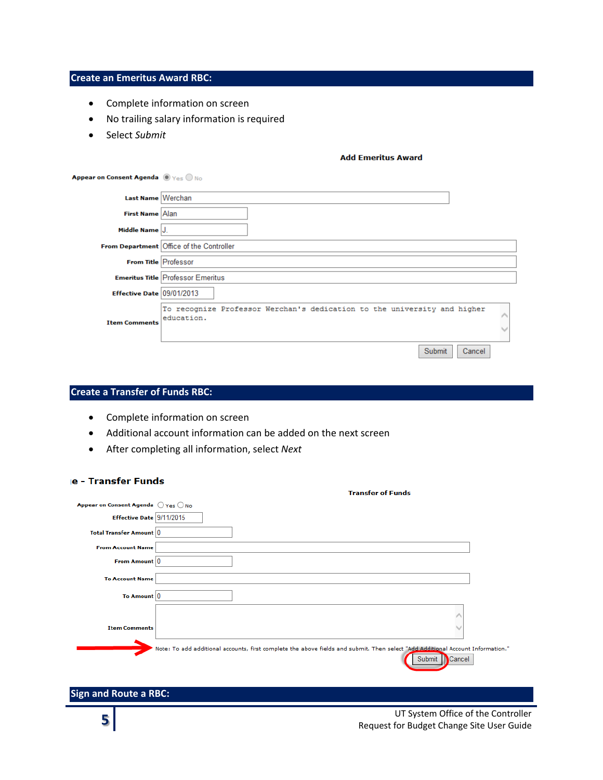## **Create an Emeritus Award RBC:**

- Complete information on screen
- No trailing salary information is required
- Select *Submit*

Appear on Consent Agenda @ Yes ONo

#### **Add Emeritus Award**

| Last Name Werchan           |                                                                                        |
|-----------------------------|----------------------------------------------------------------------------------------|
| First Name Alan             |                                                                                        |
| Middle Name J               |                                                                                        |
|                             | From Department Office of the Controller                                               |
| From Title Professor        |                                                                                        |
|                             | <b>Emeritus Title Professor Emeritus</b>                                               |
| Effective Date $09/01/2013$ |                                                                                        |
| <b>Item Comments</b>        | To recognize Professor Werchan's dedication to the university and higher<br>education. |
|                             | Submit<br>Cancel                                                                       |

# **Create a Transfer of Funds RBC:**

- Complete information on screen
- Additional account information can be added on the next screen
- After completing all information, select *Next*

### e - Transfer Funds

|                                                       | <b>Transfer of Funds</b>                                                                                                        |  |
|-------------------------------------------------------|---------------------------------------------------------------------------------------------------------------------------------|--|
| Appear on Consent Agenda $\bigcirc$ Yes $\bigcirc$ No |                                                                                                                                 |  |
| Effective Date 9/11/2015                              |                                                                                                                                 |  |
| Total Transfer Amount 0                               |                                                                                                                                 |  |
| <b>From Account Name</b>                              |                                                                                                                                 |  |
| From Amount 0                                         |                                                                                                                                 |  |
| <b>To Account Name</b>                                |                                                                                                                                 |  |
| To Amount 0                                           |                                                                                                                                 |  |
|                                                       |                                                                                                                                 |  |
| <b>Item Comments</b>                                  |                                                                                                                                 |  |
|                                                       | Note: To add additional accounts, first complete the above fields and submit. Then select "Add Additional Account Information." |  |
|                                                       | Submit   Cancel                                                                                                                 |  |
|                                                       |                                                                                                                                 |  |
| <b>Sign and Route a RBC:</b>                          |                                                                                                                                 |  |
|                                                       | <b>UT System Office of the Controller</b>                                                                                       |  |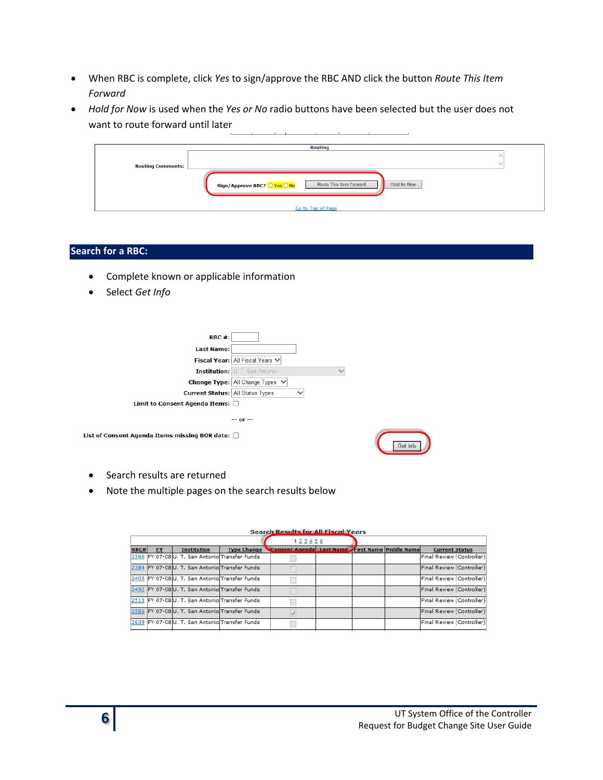- When RBC is complete, click *Yes* to sign/approve the RBC AND click the button *Route This Item Forward*
- *Hold for Now* is used when the *Yes or No* radio buttons have been selected but the user does not want to route forward until later

|                          | <b>Routing</b>                                                          |  |
|--------------------------|-------------------------------------------------------------------------|--|
| <b>Routing Comments:</b> |                                                                         |  |
|                          | Route This Item Forward<br>Hold for Now<br>Sign/Approve RBC? O Yes O No |  |
|                          | Go to Top of Page                                                       |  |

# **Search for a RBC:**

- Complete known or applicable information
- Select *Get Info*

| <b>RBC#:</b>                                   |                                       |
|------------------------------------------------|---------------------------------------|
| <b>Last Name:</b>                              |                                       |
|                                                | Fiscal Year: All Fiscal Years V       |
|                                                | <b>Institution: U. T. San Antonio</b> |
|                                                | Change Type: All Change Types V       |
| <b>Current Status: All Status Types</b>        | ◡                                     |
| Limit to Consent Agenda Items:                 |                                       |
|                                                | $--$ or $--$                          |
| List of Consent Agenda Items missing BOR date: | Get Info                              |

- Search results are returned
- Note the multiple pages on the search results below

|      |           |                                                 |                    | <b>Search Results for All Fiscal Years</b>      |  |  |                           |
|------|-----------|-------------------------------------------------|--------------------|-------------------------------------------------|--|--|---------------------------|
|      |           |                                                 |                    |                                                 |  |  |                           |
| RBC# | <b>FY</b> | <b>Institution</b>                              | <b>Type Change</b> | Consent Agenda Last Name First Name Middle Name |  |  | <b>Current Status</b>     |
|      |           | 2366 FY 07-08U. T. San Antonio Transfer Funds   |                    |                                                 |  |  | Final Review (Controller) |
|      |           | 2384 FY 07-08 U. T. San Antonio Transfer Funds  |                    |                                                 |  |  | Final Review (Controller) |
|      |           | 2405 FY 07-08U. T. San Antonio Transfer Funds   |                    |                                                 |  |  | Final Review (Controller) |
|      |           | 2492 FY 07-08U. T. San Antonio Transfer Funds   |                    |                                                 |  |  | Final Review (Controller) |
|      |           | 2513 FY 07-08 U. T. San Antonio Transfer Funds  |                    |                                                 |  |  | Final Review (Controller) |
|      |           | 2586 FY 07-08 U. T. San Antonio Transfer Funds  |                    | $\checkmark$                                    |  |  | Final Review (Controller) |
|      |           | 2639 IFY 07-08 U. T. San Antonio Transfer Funds |                    |                                                 |  |  | Final Review (Controller) |
|      |           |                                                 |                    |                                                 |  |  |                           |